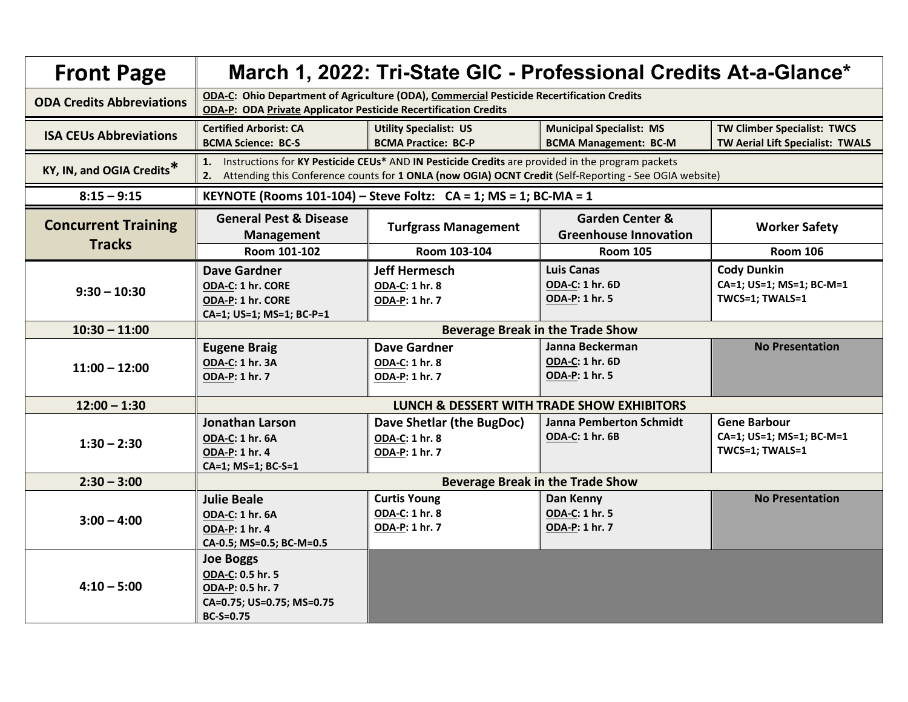| <b>Front Page</b>                           | March 1, 2022: Tri-State GIC - Professional Credits At-a-Glance*                                                                                                                                              |                                                               |                                                                 |                                                                        |  |  |
|---------------------------------------------|---------------------------------------------------------------------------------------------------------------------------------------------------------------------------------------------------------------|---------------------------------------------------------------|-----------------------------------------------------------------|------------------------------------------------------------------------|--|--|
| <b>ODA Credits Abbreviations</b>            | ODA-C: Ohio Department of Agriculture (ODA), Commercial Pesticide Recertification Credits<br><b>ODA-P: ODA Private Applicator Pesticide Recertification Credits</b>                                           |                                                               |                                                                 |                                                                        |  |  |
| <b>ISA CEUs Abbreviations</b>               | <b>Certified Arborist: CA</b><br><b>BCMA Science: BC-S</b>                                                                                                                                                    | <b>Utility Specialist: US</b><br><b>BCMA Practice: BC-P</b>   | <b>Municipal Specialist: MS</b><br><b>BCMA Management: BC-M</b> | <b>TW Climber Specialist: TWCS</b><br>TW Aerial Lift Specialist: TWALS |  |  |
| KY, IN, and OGIA Credits*                   | 1. Instructions for KY Pesticide CEUs* AND IN Pesticide Credits are provided in the program packets<br>Attending this Conference counts for 1 ONLA (now OGIA) OCNT Credit (Self-Reporting - See OGIA website) |                                                               |                                                                 |                                                                        |  |  |
| $8:15 - 9:15$                               | KEYNOTE (Rooms 101-104) - Steve Foltz: $CA = 1$ ; MS = 1; BC-MA = 1                                                                                                                                           |                                                               |                                                                 |                                                                        |  |  |
| <b>Concurrent Training</b><br><b>Tracks</b> | <b>General Pest &amp; Disease</b><br>Management                                                                                                                                                               | <b>Turfgrass Management</b>                                   | <b>Garden Center &amp;</b><br><b>Greenhouse Innovation</b>      | <b>Worker Safety</b>                                                   |  |  |
|                                             | Room 101-102                                                                                                                                                                                                  | Room 103-104                                                  | <b>Room 105</b>                                                 | <b>Room 106</b>                                                        |  |  |
| $9:30 - 10:30$                              | <b>Dave Gardner</b><br>ODA-C: 1 hr. CORE<br>ODA-P: 1 hr. CORE<br>CA=1; US=1; MS=1; BC-P=1                                                                                                                     | <b>Jeff Hermesch</b><br>ODA-C: 1 hr. 8<br>ODA-P: 1 hr. 7      | <b>Luis Canas</b><br>ODA-C: 1 hr. 6D<br>ODA-P: 1 hr. 5          | <b>Cody Dunkin</b><br>CA=1; US=1; MS=1; BC-M=1<br>TWCS=1; TWALS=1      |  |  |
| $10:30 - 11:00$                             | <b>Beverage Break in the Trade Show</b>                                                                                                                                                                       |                                                               |                                                                 |                                                                        |  |  |
| $11:00 - 12:00$                             | <b>Eugene Braig</b><br>ODA-C: 1 hr. 3A<br>ODA-P: 1 hr. 7                                                                                                                                                      | <b>Dave Gardner</b><br>ODA-C: 1 hr. 8<br>ODA-P: 1 hr. 7       | Janna Beckerman<br>ODA-C: 1 hr. 6D<br>ODA-P: 1 hr. 5            | <b>No Presentation</b>                                                 |  |  |
| $12:00 - 1:30$                              | LUNCH & DESSERT WITH TRADE SHOW EXHIBITORS                                                                                                                                                                    |                                                               |                                                                 |                                                                        |  |  |
| $1:30 - 2:30$                               | <b>Jonathan Larson</b><br>ODA-C: 1 hr. 6A<br>ODA-P: 1 hr. 4<br>CA=1; MS=1; BC-S=1                                                                                                                             | Dave Shetlar (the BugDoc)<br>ODA-C: 1 hr. 8<br>ODA-P: 1 hr. 7 | Janna Pemberton Schmidt<br><b>ODA-C: 1 hr. 6B</b>               | <b>Gene Barbour</b><br>CA=1; US=1; MS=1; BC-M=1<br>TWCS=1; TWALS=1     |  |  |
| $2:30 - 3:00$                               | <b>Beverage Break in the Trade Show</b>                                                                                                                                                                       |                                                               |                                                                 |                                                                        |  |  |
| $3:00 - 4:00$                               | <b>Julie Beale</b><br>ODA-C: 1 hr. 6A<br><b>ODA-P: 1 hr. 4</b><br>CA-0.5; MS=0.5; BC-M=0.5                                                                                                                    | <b>Curtis Young</b><br>ODA-C: 1 hr. 8<br>ODA-P: 1 hr. 7       | Dan Kenny<br>ODA-C: 1 hr. 5<br>ODA-P: 1 hr. 7                   | <b>No Presentation</b>                                                 |  |  |
| $4:10 - 5:00$                               | <b>Joe Boggs</b><br>ODA-C: 0.5 hr. 5<br>ODA-P: 0.5 hr. 7<br>CA=0.75; US=0.75; MS=0.75<br>$BC-S=0.75$                                                                                                          |                                                               |                                                                 |                                                                        |  |  |